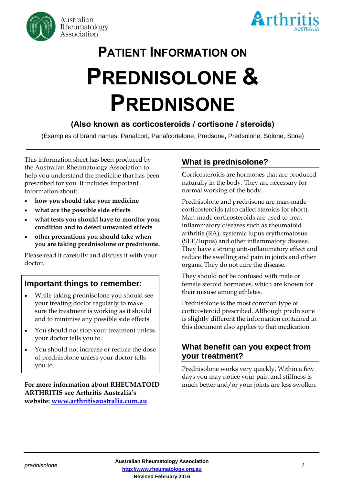



# PATIENT INFORMATION ON PREDNISOLONE & PREDNISONE

# (Also known as corticosteroids / cortisone / steroids)

(Examples of brand names: Panafcort, Panafcortelone, Predsone, Predsolone, Solone, Sone)

This information sheet has been produced by the Australian Rheumatology Association to help you understand the medicine that has been prescribed for you. It includes important information about:

- **how you should take your medicine**
- **what are the possible side effects**
- **what tests you should have to monitor your condition and to detect unwanted effects**
- **other precautions you should take when you are taking prednisolone or prednisone.**

Please read it carefully and discuss it with your doctor.

# **Important things to remember:**

- While taking prednisolone you should see your treating doctor regularly to make sure the treatment is working as it should and to minimise any possible side effects.
- You should not stop your treatment unless your doctor tells you to.
- You should not increase or reduce the dose of prednisolone unless your doctor tells you to.

**For more information about RHEUMATOID ARTHRITIS see Arthritis Australia's website: [www.arthritisaustralia.com.au](http://www.arthritisaustralia.com.au/)**

# **What is prednisolone?**

Corticosteroids are hormones that are produced naturally in the body. They are necessary for normal working of the body.

Prednisolone and prednisone are man-made corticosteroids (also called steroids for short). Man-made corticosteroids are used to treat inflammatory diseases such as rheumatoid arthritis (RA), systemic lupus erythematosus (SLE/lupus) and other inflammatory disease. They have a strong anti-inflammatory effect and reduce the swelling and pain in joints and other organs. They do not cure the disease.

They should not be confused with male or female steroid hormones, which are known for their misuse among athletes.

Prednisolone is the most common type of corticosteroid prescribed. Although prednisone is slightly different the information contained in this document also applies to that medication.

## **What benefit can you expect from your treatment?**

Prednisolone works very quickly. Within a few days you may notice your pain and stiffness is much better and/or your joints are less swollen.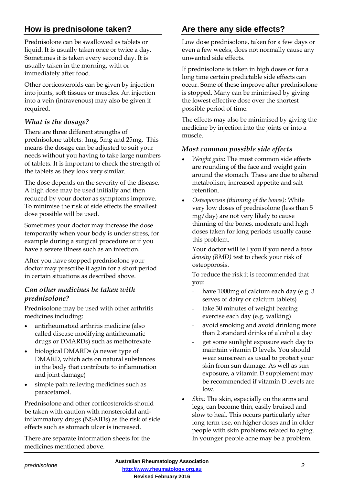# **How is prednisolone taken?**

Prednisolone can be swallowed as tablets or liquid. It is usually taken once or twice a day. Sometimes it is taken every second day. It is usually taken in the morning, with or immediately after food.

Other corticosteroids can be given by injection into joints, soft tissues or muscles. An injection into a vein (intravenous) may also be given if required.

## *What is the dosage?*

There are three different strengths of prednisolone tablets: 1mg, 5mg and 25mg. This means the dosage can be adjusted to suit your needs without you having to take large numbers of tablets. It is important to check the strength of the tablets as they look very similar.

The dose depends on the severity of the disease. A high dose may be used initially and then reduced by your doctor as symptoms improve. To minimise the risk of side effects the smallest dose possible will be used.

Sometimes your doctor may increase the dose temporarily when your body is under stress, for example during a surgical procedure or if you have a severe illness such as an infection.

After you have stopped prednisolone your doctor may prescribe it again for a short period in certain situations as described above.

#### *Can other medicines be taken with prednisolone?*

Prednisolone may be used with other arthritis medicines including:

- antirheumatoid arthritis medicine (also called disease modifying antirheumatic drugs or DMARDs) such as methotrexate
- biological DMARDs (a newer type of DMARD, which acts on natural substances in the body that contribute to inflammation and joint damage)
- simple pain relieving medicines such as paracetamol.

Prednisolone and other corticosteroids should be taken with caution with nonsteroidal antiinflammatory drugs (NSAIDs) as the risk of side effects such as stomach ulcer is increased.

There are separate information sheets for the medicines mentioned above.

# **Are there any side effects?**

Low dose prednisolone, taken for a few days or even a few weeks, does not normally cause any unwanted side effects.

If prednisolone is taken in high doses or for a long time certain predictable side effects can occur. Some of these improve after prednisolone is stopped. Many can be minimised by giving the lowest effective dose over the shortest possible period of time.

The effects may also be minimised by giving the medicine by injection into the joints or into a muscle.

#### *Most common possible side effects*

- *Weight gain*: The most common side effects are rounding of the face and weight gain around the stomach. These are due to altered metabolism, increased appetite and salt retention.
- *Osteoporosis (thinning of the bones):* While very low doses of prednisolone (less than 5 mg/day) are not very likely to cause thinning of the bones, moderate and high doses taken for long periods usually cause this problem.

Your doctor will tell you if you need a *bone density (BMD)* test to check your risk of osteoporosis.

To reduce the risk it is recommended that you:

- have 1000mg of calcium each day (e.g. 3) serves of dairy or calcium tablets)
- take 30 minutes of weight bearing exercise each day (e.g. walking)
- avoid smoking and avoid drinking more than 2 standard drinks of alcohol a day
- get some sunlight exposure each day to maintain vitamin D levels. You should wear sunscreen as usual to protect your skin from sun damage. As well as sun exposure, a vitamin D supplement may be recommended if vitamin D levels are low.
- *Skin:* The skin, especially on the arms and legs, can become thin, easily bruised and slow to heal. This occurs particularly after long term use, on higher doses and in older people with skin problems related to aging. In younger people acne may be a problem.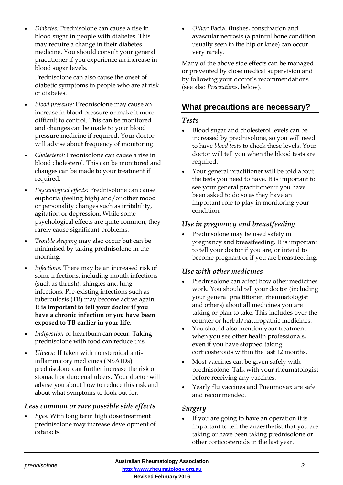• *Diabetes:* Prednisolone can cause a rise in blood sugar in people with diabetes. This may require a change in their diabetes medicine. You should consult your general practitioner if you experience an increase in blood sugar levels.

Prednisolone can also cause the onset of diabetic symptoms in people who are at risk of diabetes.

- *Blood pressure:* Prednisolone may cause an increase in blood pressure or make it more difficult to control. This can be monitored and changes can be made to your blood pressure medicine if required. Your doctor will advise about frequency of monitoring.
- *Cholesterol:* Prednisolone can cause a rise in blood cholesterol. This can be monitored and changes can be made to your treatment if required.
- *Psychological effects:* Prednisolone can cause euphoria (feeling high) and/or other mood or personality changes such as irritability, agitation or depression. While some psychological effects are quite common, they rarely cause significant problems.
- *Trouble sleeping* may also occur but can be minimised by taking prednisolone in the morning.
- *Infections:* There may be an increased risk of some infections, including mouth infections (such as thrush), shingles and lung infections. Pre-existing infections such as tuberculosis (TB) may become active again. **It is important to tell your doctor if you have a chronic infection or you have been exposed to TB earlier in your life.**
- *Indigestion* or heartburn can occur. Taking prednisolone with food can reduce this.
- *Ulcers:* If taken with nonsteroidal antiinflammatory medicines (NSAIDs) prednisolone can further increase the risk of stomach or duodenal ulcers. Your doctor will advise you about how to reduce this risk and about what symptoms to look out for.

#### *Less common or rare possible side effects*

• *Eyes:* With long term high dose treatment prednisolone may increase development of cataracts.

• *Other:* Facial flushes, constipation and avascular necrosis (a painful bone condition usually seen in the hip or knee) can occur very rarely.

Many of the above side effects can be managed or prevented by close medical supervision and by following your doctor's recommendations (see also *Precautions*, below).

# **What precautions are necessary?**

#### *Tests*

- Blood sugar and cholesterol levels can be increased by prednisolone, so you will need to have *blood tests* to check these levels. Your doctor will tell you when the blood tests are required.
- Your general practitioner will be told about the tests you need to have. It is important to see your general practitioner if you have been asked to do so as they have an important role to play in monitoring your condition.

#### *Use in pregnancy and breastfeeding*

• Prednisolone may be used safely in pregnancy and breastfeeding. It is important to tell your doctor if you are, or intend to become pregnant or if you are breastfeeding.

#### *Use with other medicines*

- Prednisolone can affect how other medicines work. You should tell your doctor (including your general practitioner, rheumatologist and others) about all medicines you are taking or plan to take. This includes over the counter or herbal/naturopathic medicines.
- You should also mention your treatment when you see other health professionals, even if you have stopped taking corticosteroids within the last 12 months.
- Most vaccines can be given safely with prednisolone. Talk with your rheumatologist before receiving any vaccines.
- Yearly flu vaccines and Pneumovax are safe and recommended.

#### *Surgery*

If you are going to have an operation it is important to tell the anaesthetist that you are taking or have been taking prednisolone or other corticosteroids in the last year.